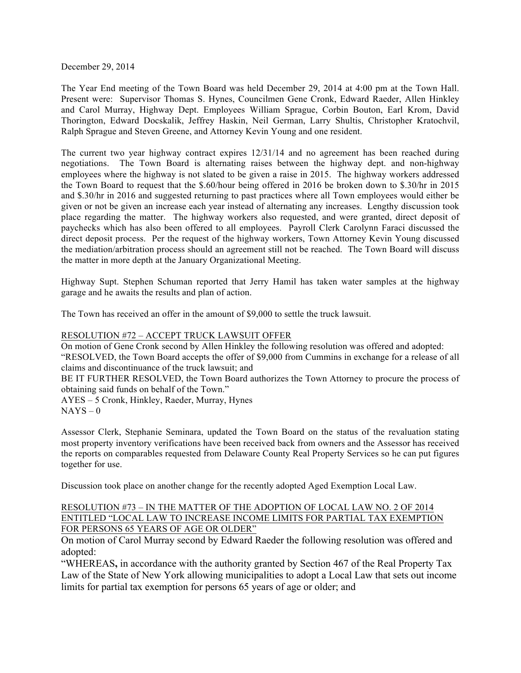December 29, 2014

The Year End meeting of the Town Board was held December 29, 2014 at 4:00 pm at the Town Hall. Present were: Supervisor Thomas S. Hynes, Councilmen Gene Cronk, Edward Raeder, Allen Hinkley and Carol Murray, Highway Dept. Employees William Sprague, Corbin Bouton, Earl Krom, David Thorington, Edward Docskalik, Jeffrey Haskin, Neil German, Larry Shultis, Christopher Kratochvil, Ralph Sprague and Steven Greene, and Attorney Kevin Young and one resident.

The current two year highway contract expires 12/31/14 and no agreement has been reached during negotiations. The Town Board is alternating raises between the highway dept. and non-highway employees where the highway is not slated to be given a raise in 2015. The highway workers addressed the Town Board to request that the \$.60/hour being offered in 2016 be broken down to \$.30/hr in 2015 and \$.30/hr in 2016 and suggested returning to past practices where all Town employees would either be given or not be given an increase each year instead of alternating any increases. Lengthy discussion took place regarding the matter. The highway workers also requested, and were granted, direct deposit of paychecks which has also been offered to all employees. Payroll Clerk Carolynn Faraci discussed the direct deposit process. Per the request of the highway workers, Town Attorney Kevin Young discussed the mediation/arbitration process should an agreement still not be reached. The Town Board will discuss the matter in more depth at the January Organizational Meeting.

Highway Supt. Stephen Schuman reported that Jerry Hamil has taken water samples at the highway garage and he awaits the results and plan of action.

The Town has received an offer in the amount of \$9,000 to settle the truck lawsuit.

## RESOLUTION #72 – ACCEPT TRUCK LAWSUIT OFFER

On motion of Gene Cronk second by Allen Hinkley the following resolution was offered and adopted: "RESOLVED, the Town Board accepts the offer of \$9,000 from Cummins in exchange for a release of all claims and discontinuance of the truck lawsuit; and

BE IT FURTHER RESOLVED, the Town Board authorizes the Town Attorney to procure the process of obtaining said funds on behalf of the Town."

AYES – 5 Cronk, Hinkley, Raeder, Murray, Hynes  $NAYS - 0$ 

Assessor Clerk, Stephanie Seminara, updated the Town Board on the status of the revaluation stating most property inventory verifications have been received back from owners and the Assessor has received the reports on comparables requested from Delaware County Real Property Services so he can put figures together for use.

Discussion took place on another change for the recently adopted Aged Exemption Local Law.

## RESOLUTION #73 – IN THE MATTER OF THE ADOPTION OF LOCAL LAW NO. 2 OF 2014 ENTITLED "LOCAL LAW TO INCREASE INCOME LIMITS FOR PARTIAL TAX EXEMPTION FOR PERSONS 65 YEARS OF AGE OR OLDER"

On motion of Carol Murray second by Edward Raeder the following resolution was offered and adopted:

"WHEREAS**,** in accordance with the authority granted by Section 467 of the Real Property Tax Law of the State of New York allowing municipalities to adopt a Local Law that sets out income limits for partial tax exemption for persons 65 years of age or older; and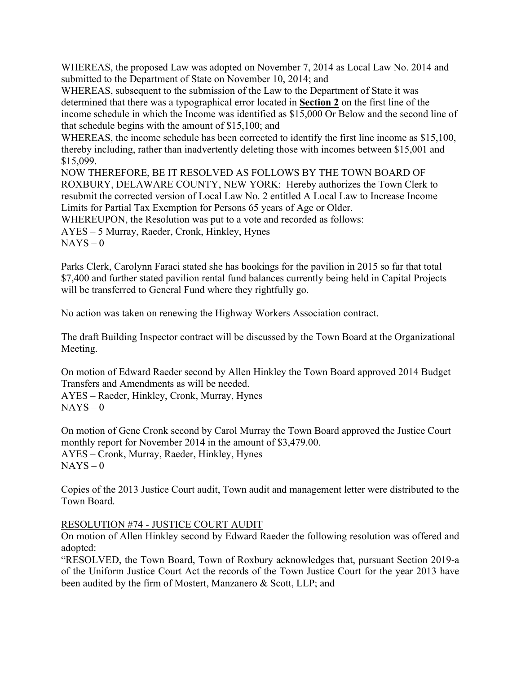WHEREAS, the proposed Law was adopted on November 7, 2014 as Local Law No. 2014 and submitted to the Department of State on November 10, 2014; and

WHEREAS, subsequent to the submission of the Law to the Department of State it was determined that there was a typographical error located in **Section 2** on the first line of the income schedule in which the Income was identified as \$15,000 Or Below and the second line of that schedule begins with the amount of \$15,100; and

WHEREAS, the income schedule has been corrected to identify the first line income as \$15,100, thereby including, rather than inadvertently deleting those with incomes between \$15,001 and \$15,099.

NOW THEREFORE, BE IT RESOLVED AS FOLLOWS BY THE TOWN BOARD OF ROXBURY, DELAWARE COUNTY, NEW YORK: Hereby authorizes the Town Clerk to resubmit the corrected version of Local Law No. 2 entitled A Local Law to Increase Income Limits for Partial Tax Exemption for Persons 65 years of Age or Older. WHEREUPON, the Resolution was put to a vote and recorded as follows:

AYES – 5 Murray, Raeder, Cronk, Hinkley, Hynes

 $NAYS - 0$ 

Parks Clerk, Carolynn Faraci stated she has bookings for the pavilion in 2015 so far that total \$7,400 and further stated pavilion rental fund balances currently being held in Capital Projects will be transferred to General Fund where they rightfully go.

No action was taken on renewing the Highway Workers Association contract.

The draft Building Inspector contract will be discussed by the Town Board at the Organizational Meeting.

On motion of Edward Raeder second by Allen Hinkley the Town Board approved 2014 Budget Transfers and Amendments as will be needed.

AYES – Raeder, Hinkley, Cronk, Murray, Hynes  $NAYS - 0$ 

On motion of Gene Cronk second by Carol Murray the Town Board approved the Justice Court monthly report for November 2014 in the amount of \$3,479.00. AYES – Cronk, Murray, Raeder, Hinkley, Hynes  $NAYS - 0$ 

Copies of the 2013 Justice Court audit, Town audit and management letter were distributed to the Town Board.

## RESOLUTION #74 - JUSTICE COURT AUDIT

On motion of Allen Hinkley second by Edward Raeder the following resolution was offered and adopted:

"RESOLVED, the Town Board, Town of Roxbury acknowledges that, pursuant Section 2019-a of the Uniform Justice Court Act the records of the Town Justice Court for the year 2013 have been audited by the firm of Mostert, Manzanero & Scott, LLP; and